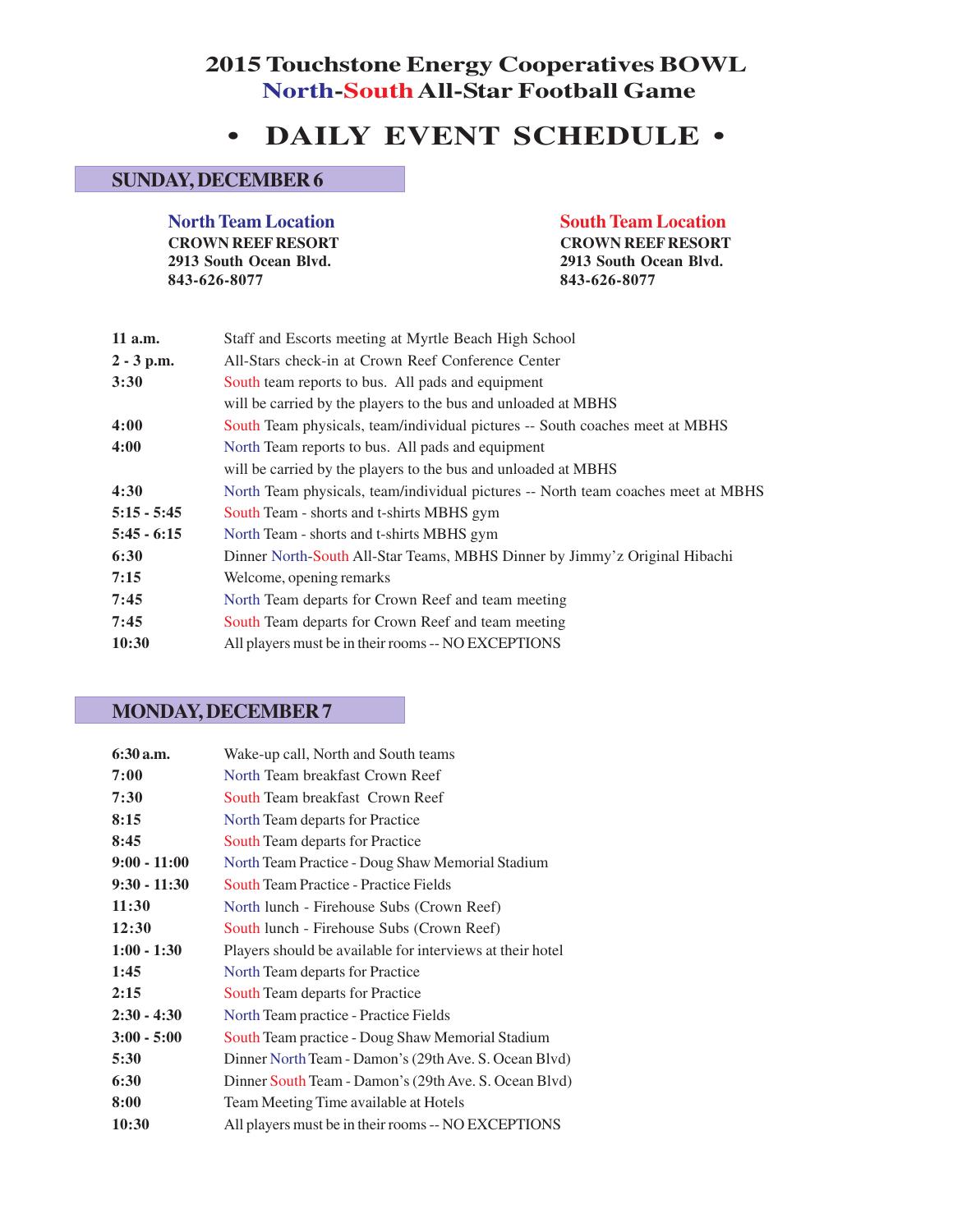## **2015 Touchstone Energy Cooperatives BOWL North-SouthAll-Star Football Game**

# **• DAILY EVENT SCHEDULE •**

#### **SUNDAY, DECEMBER 6**

**North Team Location South Team Location CROWN REEF RESORT CROWN REEF RESORT 2913 South Ocean Blvd. 2913 South Ocean Blvd. 843-626-8077 843-626-8077**

| 11 a.m.       | Staff and Escorts meeting at Myrtle Beach High School                             |
|---------------|-----------------------------------------------------------------------------------|
| $2 - 3$ p.m.  | All-Stars check-in at Crown Reef Conference Center                                |
| 3:30          | South team reports to bus. All pads and equipment                                 |
|               | will be carried by the players to the bus and unloaded at MBHS                    |
| 4:00          | South Team physicals, team/individual pictures -- South coaches meet at MBHS      |
| 4:00          | North Team reports to bus. All pads and equipment                                 |
|               | will be carried by the players to the bus and unloaded at MBHS                    |
| 4:30          | North Team physicals, team/individual pictures -- North team coaches meet at MBHS |
| $5:15 - 5:45$ | South Team - shorts and t-shirts MBHS gym                                         |
| $5:45 - 6:15$ | North Team - shorts and t-shirts MBHS gym                                         |
| 6:30          | Dinner North-South All-Star Teams, MBHS Dinner by Jimmy'z Original Hibachi        |
| 7:15          | Welcome, opening remarks                                                          |
| 7:45          | North Team departs for Crown Reef and team meeting                                |
| 7:45          | South Team departs for Crown Reef and team meeting                                |
| 10:30         | All players must be in their rooms -- NO EXCEPTIONS                               |
|               |                                                                                   |

#### **MONDAY, DECEMBER 7**

| $6:30$ a.m.    | Wake-up call, North and South teams                       |
|----------------|-----------------------------------------------------------|
| 7:00           | North Team breakfast Crown Reef                           |
| 7:30           | South Team breakfast Crown Reef                           |
| 8:15           | North Team departs for Practice                           |
| 8:45           | South Team departs for Practice                           |
| $9:00 - 11:00$ | North Team Practice - Doug Shaw Memorial Stadium          |
| $9:30 - 11:30$ | <b>South Team Practice - Practice Fields</b>              |
| 11:30          | North lunch - Firehouse Subs (Crown Reef)                 |
| 12:30          | South lunch - Firehouse Subs (Crown Reef)                 |
| $1:00 - 1:30$  | Players should be available for interviews at their hotel |
| 1:45           | North Team departs for Practice                           |
| 2:15           | <b>South Team departs for Practice</b>                    |
| $2:30 - 4:30$  | North Team practice - Practice Fields                     |
| $3:00 - 5:00$  | South Team practice - Doug Shaw Memorial Stadium          |
| 5:30           | Dinner North Team - Damon's (29th Ave. S. Ocean Blvd)     |
| 6:30           | Dinner South Team - Damon's (29th Ave. S. Ocean Blvd)     |
| 8:00           | Team Meeting Time available at Hotels                     |
| 10:30          | All players must be in their rooms -- NO EXCEPTIONS       |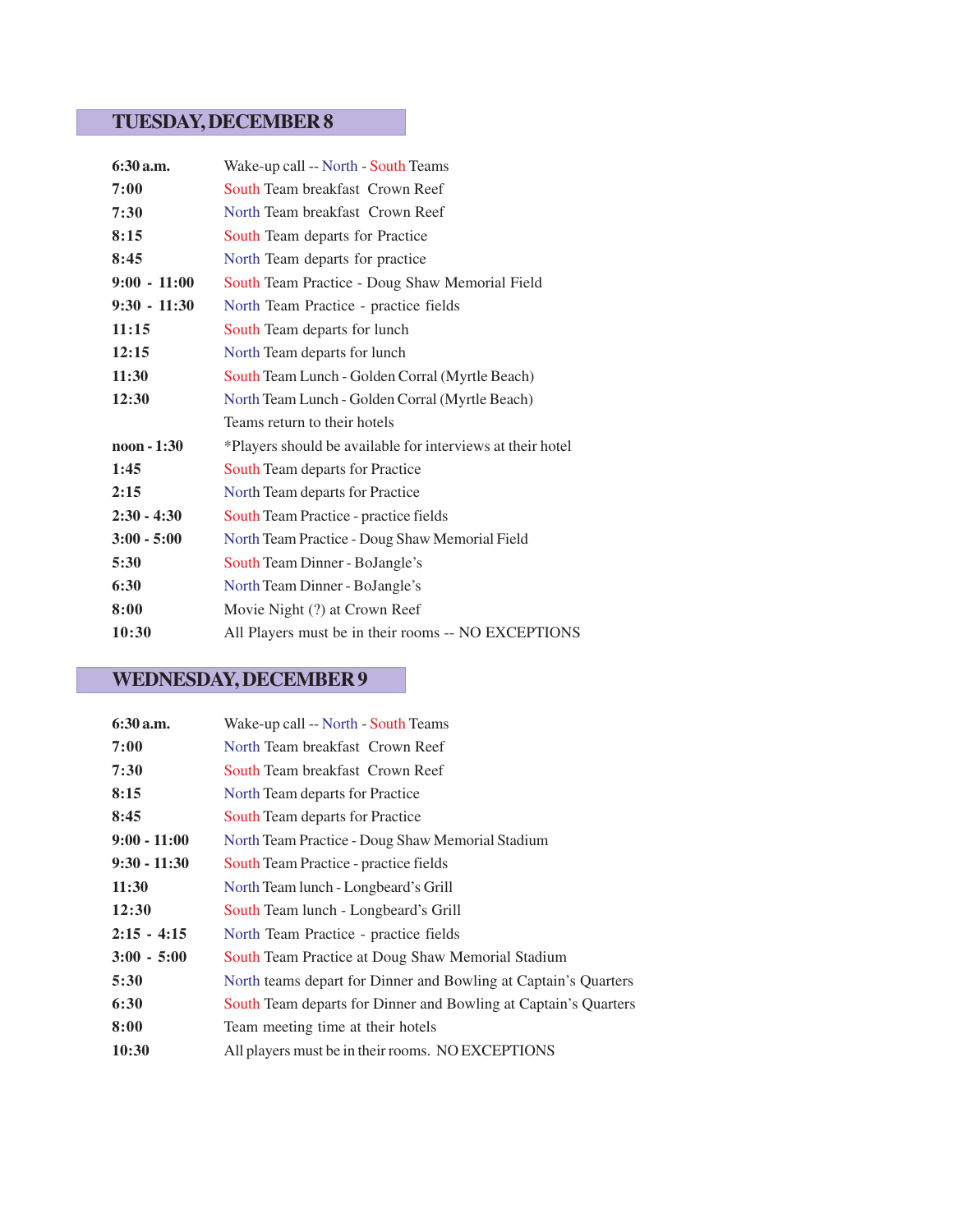## **TUESDAY, DECEMBER 8**

| 6:30 a.m.            | Wake-up call -- North - South Teams                        |
|----------------------|------------------------------------------------------------|
| 7:00                 | South Team breakfast Crown Reef                            |
| 7:30                 | North Team breakfast Crown Reef                            |
| 8:15                 | South Team departs for Practice                            |
| 8:45                 | North Team departs for practice                            |
| $9:00 - 11:00$       | South Team Practice - Doug Shaw Memorial Field             |
| $9:30 - 11:30$       | North Team Practice - practice fields                      |
| 11:15                | South Team departs for lunch                               |
| 12:15                | North Team departs for lunch                               |
| 11:30                | South Team Lunch - Golden Corral (Myrtle Beach)            |
| 12:30                | North Team Lunch - Golden Corral (Myrtle Beach)            |
|                      | Teams return to their hotels                               |
| $\text{noon} - 1:30$ | *Players should be available for interviews at their hotel |
| 1:45                 | South Team departs for Practice                            |
| 2:15                 | North Team departs for Practice                            |
| $2:30 - 4:30$        | South Team Practice - practice fields                      |
| $3:00 - 5:00$        | North Team Practice - Doug Shaw Memorial Field             |
| 5:30                 | South Team Dinner - BoJangle's                             |
| 6:30                 | North Team Dinner - BoJangle's                             |
| 8:00                 | Movie Night (?) at Crown Reef                              |
| 10:30                | All Players must be in their rooms -- NO EXCEPTIONS        |

# **WEDNESDAY, DECEMBER 9**

| $6:30$ a.m.    | Wake-up call -- North - South Teams                             |
|----------------|-----------------------------------------------------------------|
| 7:00           | North Team breakfast Crown Reef                                 |
| 7:30           | South Team breakfast Crown Reef                                 |
| 8:15           | North Team departs for Practice                                 |
| 8:45           | South Team departs for Practice                                 |
| $9:00 - 11:00$ | North Team Practice - Doug Shaw Memorial Stadium                |
| $9:30 - 11:30$ | South Team Practice - practice fields                           |
| 11:30          | North Team lunch - Longbeard's Grill                            |
| 12:30          | South Team lunch - Longbeard's Grill                            |
| $2:15 - 4:15$  | North Team Practice - practice fields                           |
| $3:00 - 5:00$  | South Team Practice at Doug Shaw Memorial Stadium               |
| 5:30           | North teams depart for Dinner and Bowling at Captain's Quarters |
| 6:30           | South Team departs for Dinner and Bowling at Captain's Quarters |
| 8:00           | Team meeting time at their hotels                               |
| 10:30          | All players must be in their rooms. NO EXCEPTIONS               |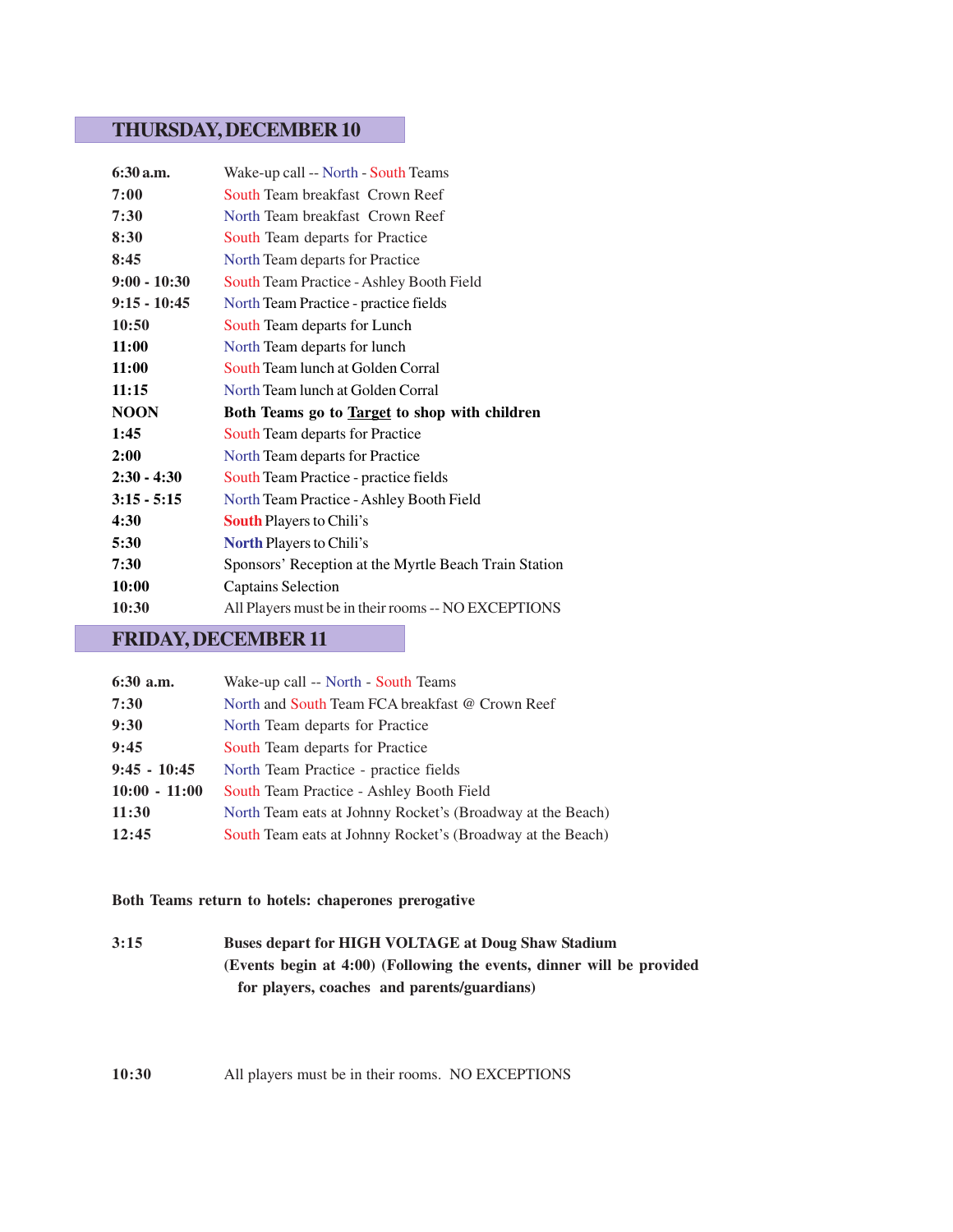#### **THURSDAY, DECEMBER 10**

| 6:30 a.m.      | Wake-up call -- North - South Teams                   |
|----------------|-------------------------------------------------------|
| 7:00           | South Team breakfast Crown Reef                       |
| 7:30           | North Team breakfast Crown Reef                       |
| 8:30           | South Team departs for Practice                       |
| 8:45           | North Team departs for Practice                       |
| $9:00 - 10:30$ | South Team Practice - Ashley Booth Field              |
| $9:15 - 10:45$ | North Team Practice - practice fields                 |
| 10:50          | South Team departs for Lunch                          |
| 11:00          | North Team departs for lunch                          |
| 11:00          | South Team lunch at Golden Corral                     |
| 11:15          | North Team lunch at Golden Corral                     |
| <b>NOON</b>    | Both Teams go to Target to shop with children         |
| 1:45           | South Team departs for Practice                       |
| 2:00           | North Team departs for Practice                       |
| $2:30 - 4:30$  | South Team Practice - practice fields                 |
| $3:15 - 5:15$  | North Team Practice - Ashley Booth Field              |
|                |                                                       |
| 4:30           | <b>South Players to Chili's</b>                       |
| 5:30           | <b>North Players to Chili's</b>                       |
| 7:30           | Sponsors' Reception at the Myrtle Beach Train Station |
| 10:00          | <b>Captains Selection</b>                             |
| 10:30          | All Players must be in their rooms -- NO EXCEPTIONS   |

#### **FRIDAY, DECEMBER 11**

| $6:30$ a.m.     | Wake-up call -- North - South Teams                        |
|-----------------|------------------------------------------------------------|
| 7:30            | North and South Team FCA breakfast @ Crown Reef            |
| 9:30            | North Team departs for Practice                            |
| 9:45            | South Team departs for Practice                            |
| $9:45 - 10:45$  | North Team Practice - practice fields                      |
| $10:00 - 11:00$ | South Team Practice - Ashley Booth Field                   |
| 11:30           | North Team eats at Johnny Rocket's (Broadway at the Beach) |
| 12:45           | South Team eats at Johnny Rocket's (Broadway at the Beach) |
|                 |                                                            |

#### **Both Teams return to hotels: chaperones prerogative**

**3:15 Buses depart for HIGH VOLTAGE at Doug Shaw Stadium (Events begin at 4:00) (Following the events, dinner will be provided for players, coaches and parents/guardians)**

#### **10:30** All players must be in their rooms. NO EXCEPTIONS